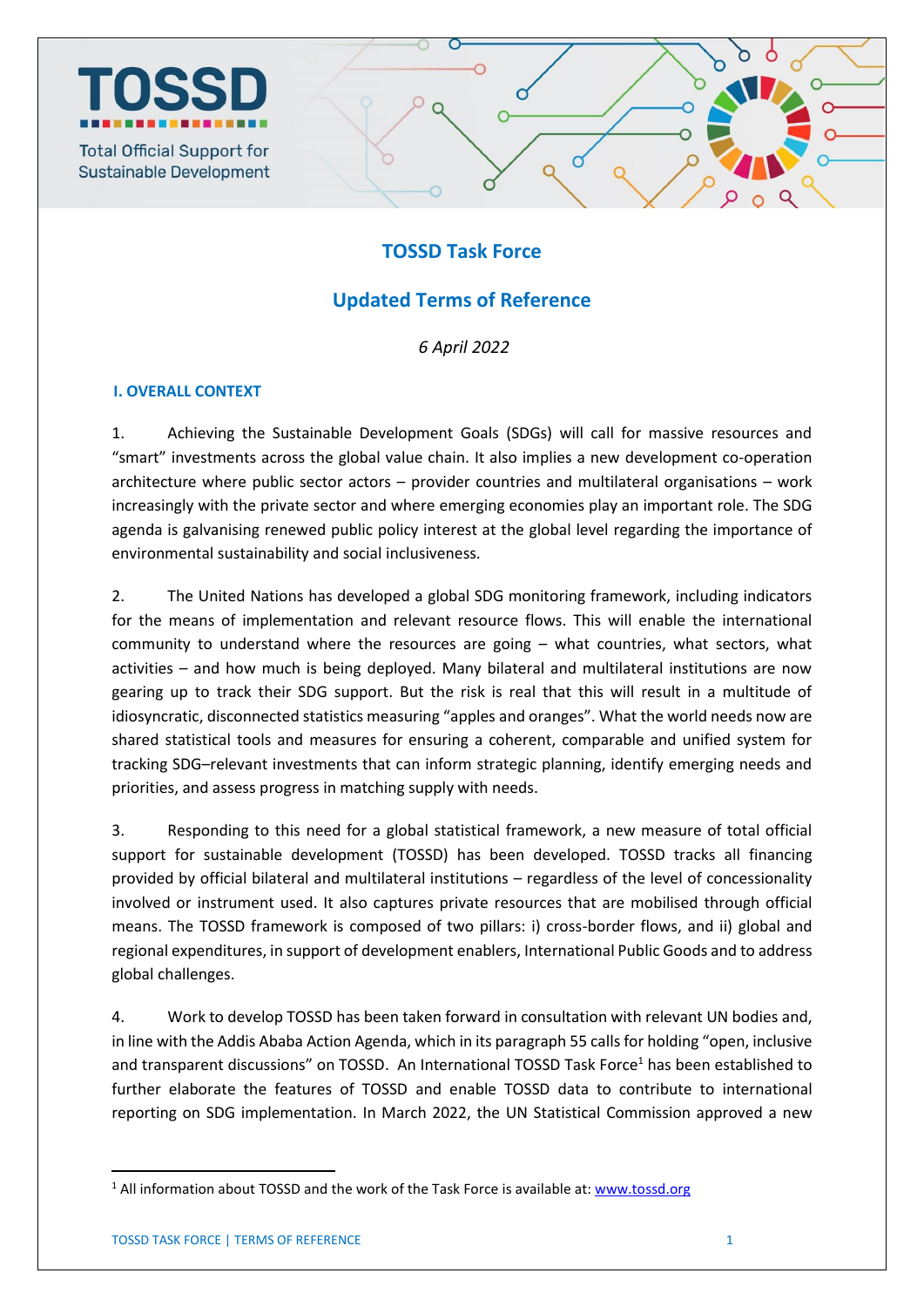

## **TOSSD Task Force**

# **Updated Terms of Reference**

*6 April 2022*

### **I. OVERALL CONTEXT**

1. Achieving the Sustainable Development Goals (SDGs) will call for massive resources and "smart" investments across the global value chain. It also implies a new development co-operation architecture where public sector actors – provider countries and multilateral organisations – work increasingly with the private sector and where emerging economies play an important role. The SDG agenda is galvanising renewed public policy interest at the global level regarding the importance of environmental sustainability and social inclusiveness.

2. The United Nations has developed a global SDG monitoring framework, including indicators for the means of implementation and relevant resource flows. This will enable the international community to understand where the resources are going – what countries, what sectors, what activities – and how much is being deployed. Many bilateral and multilateral institutions are now gearing up to track their SDG support. But the risk is real that this will result in a multitude of idiosyncratic, disconnected statistics measuring "apples and oranges". What the world needs now are shared statistical tools and measures for ensuring a coherent, comparable and unified system for tracking SDG–relevant investments that can inform strategic planning, identify emerging needs and priorities, and assess progress in matching supply with needs.

3. Responding to this need for a global statistical framework, a new measure of total official support for sustainable development (TOSSD) has been developed. TOSSD tracks all financing provided by official bilateral and multilateral institutions – regardless of the level of concessionality involved or instrument used. It also captures private resources that are mobilised through official means. The TOSSD framework is composed of two pillars: i) cross-border flows, and ii) global and regional expenditures, in support of development enablers, International Public Goods and to address global challenges.

4. Work to develop TOSSD has been taken forward in consultation with relevant UN bodies and, in line with the Addis Ababa Action Agenda, which in its paragraph 55 calls for holding "open, inclusive and transparent discussions" on TOSSD. An International TOSSD Task Force<sup>1</sup> has been established to further elaborate the features of TOSSD and enable TOSSD data to contribute to international reporting on SDG implementation. In March 2022, the UN Statistical Commission approved a new

1

 $1$  All information about TOSSD and the work of the Task Force is available at: [www.tossd.org](http://www.tossd.org/)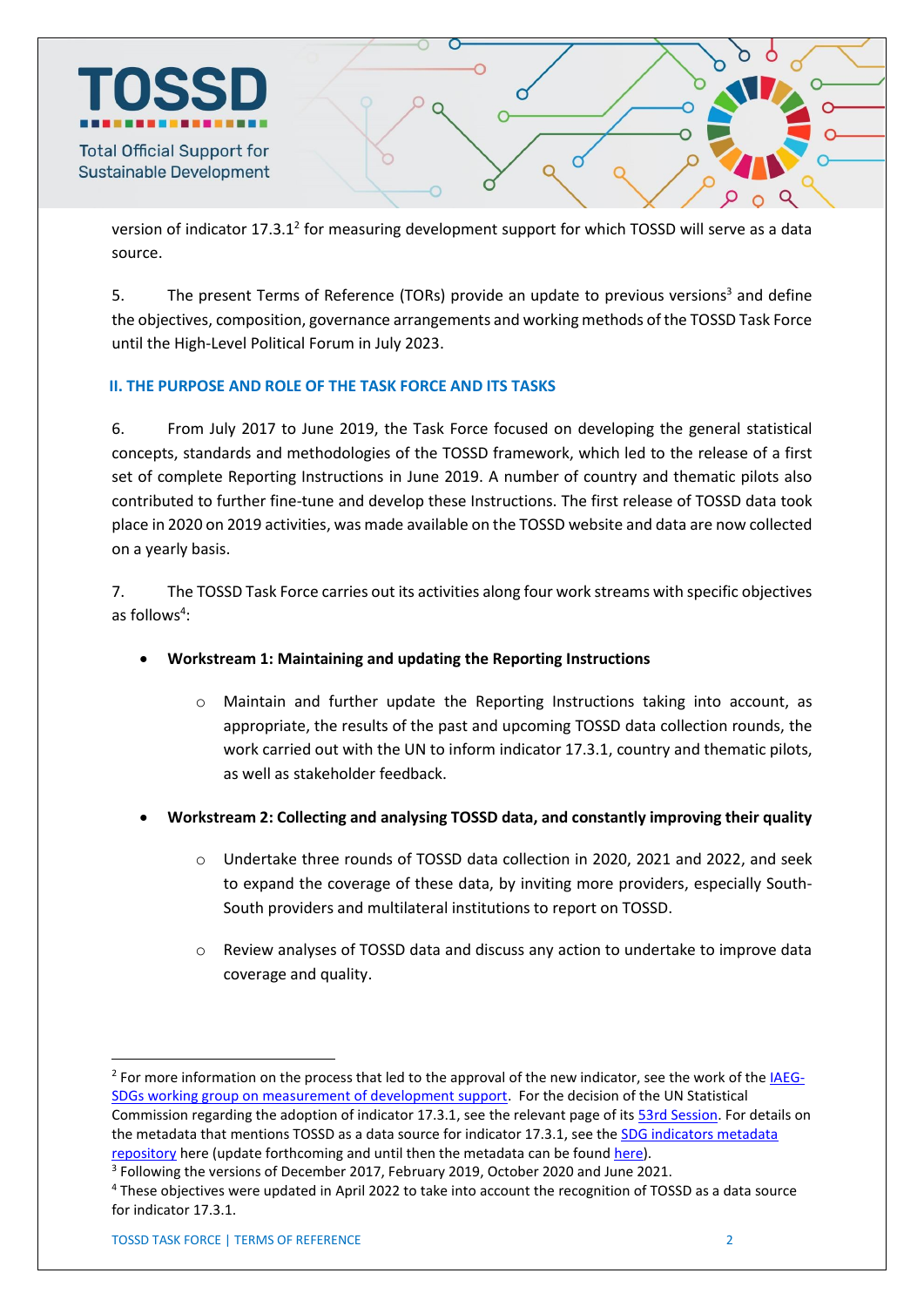

version of indicator 17.3.1<sup>2</sup> for measuring development support for which TOSSD will serve as a data source.

5. The present Terms of Reference (TORs) provide an update to previous versions<sup>3</sup> and define the objectives, composition, governance arrangements and working methods of the TOSSD Task Force until the High-Level Political Forum in July 2023.

### **II. THE PURPOSE AND ROLE OF THE TASK FORCE AND ITS TASKS**

6. From July 2017 to June 2019, the Task Force focused on developing the general statistical concepts, standards and methodologies of the TOSSD framework, which led to the release of a first set of complete Reporting Instructions in June 2019. A number of country and thematic pilots also contributed to further fine-tune and develop these Instructions. The first release of TOSSD data took place in 2020 on 2019 activities, was made available on the TOSSD website and data are now collected on a yearly basis.

7. The TOSSD Task Force carries out its activities along four work streams with specific objectives as follows<sup>4</sup>:

- **Workstream 1: Maintaining and updating the Reporting Instructions** 
	- o Maintain and further update the Reporting Instructions taking into account, as appropriate, the results of the past and upcoming TOSSD data collection rounds, the work carried out with the UN to inform indicator 17.3.1, country and thematic pilots, as well as stakeholder feedback.
- **Workstream 2: Collecting and analysing TOSSD data, and constantly improving their quality**
	- o Undertake three rounds of TOSSD data collection in 2020, 2021 and 2022, and seek to expand the coverage of these data, by inviting more providers, especially South-South providers and multilateral institutions to report on TOSSD.
	- o Review analyses of TOSSD data and discuss any action to undertake to improve data coverage and quality.

**.** 

<sup>&</sup>lt;sup>2</sup> For more information on the process that led to the approval of the new indicator, see the work of the **IAEG-**SDGs [working group on measurement of development support.](https://unstats.un.org/sdgs/iaeg-sdgs/working-group-on-measurement-of-development-support/) For the decision of the UN Statistical Commission regarding the adoption of indicator 17.3.1, see the relevant page of its [53rd Session.](https://unstats.un.org/unsd/statcom/53rd-session/documents) For details on the metadata that mentions TOSSD as a data source for indicator 17.3.1, see the SDG indicators metadata [repository](https://unstats.un.org/sdgs/metadata/) here (update forthcoming and until then the metadata can be found [here\)](https://unstats.un.org/sdgs/files/meetings/working-group-on-measurement-of-development-support/IAEG-SDGs-02-SDG-Metadata-17.3.1---2021-10-11.pdf). <sup>3</sup> Following the versions of December 2017, February 2019, October 2020 and June 2021.

<sup>4</sup> These objectives were updated in April 2022 to take into account the recognition of TOSSD as a data source for indicator 17.3.1.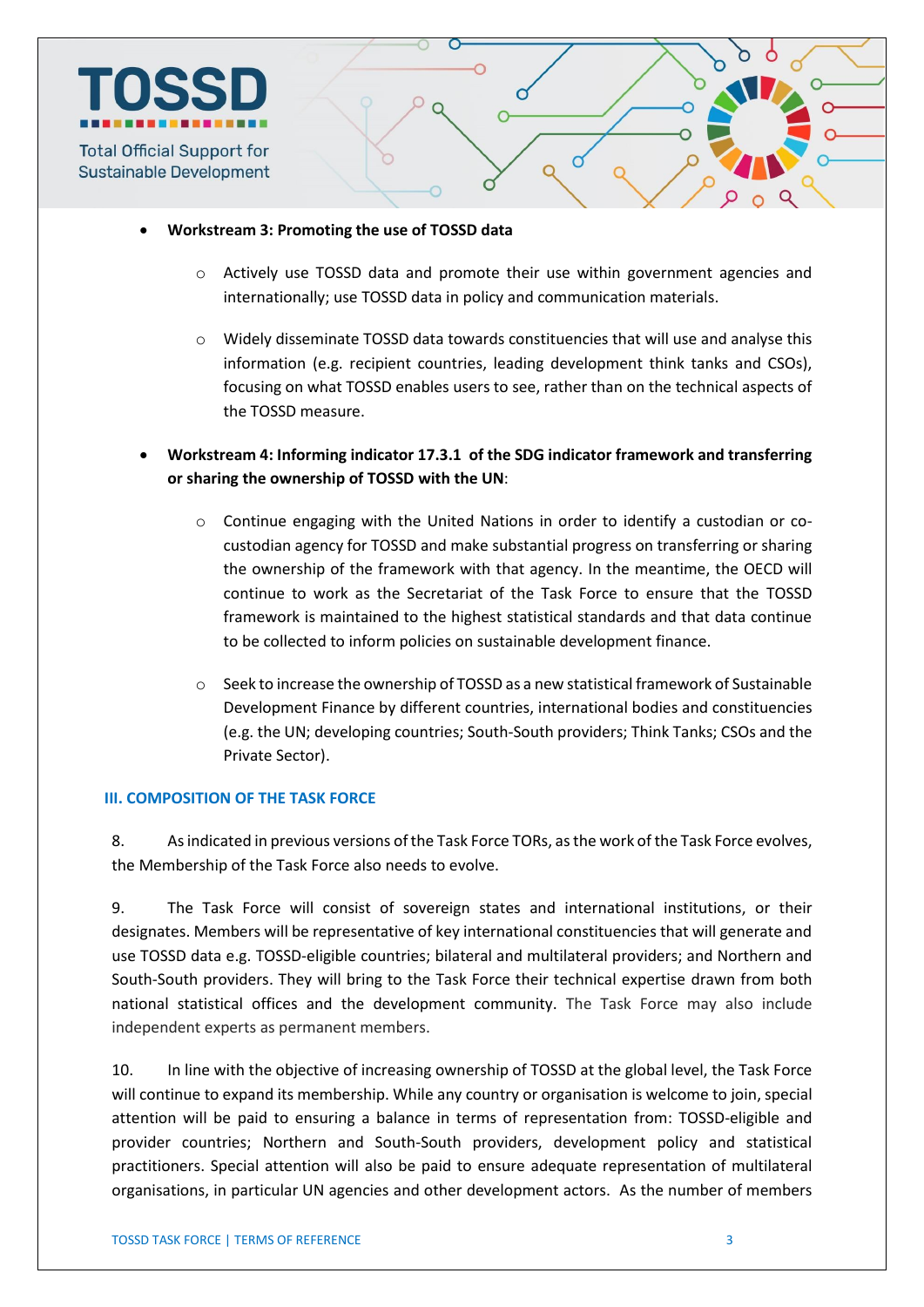

- **Workstream 3: Promoting the use of TOSSD data**
	- $\circ$  Actively use TOSSD data and promote their use within government agencies and internationally; use TOSSD data in policy and communication materials.
	- o Widely disseminate TOSSD data towards constituencies that will use and analyse this information (e.g. recipient countries, leading development think tanks and CSOs), focusing on what TOSSD enables users to see, rather than on the technical aspects of the TOSSD measure.
- **Workstream 4: Informing indicator 17.3.1 of the SDG indicator framework and transferring or sharing the ownership of TOSSD with the UN**:
	- $\circ$  Continue engaging with the United Nations in order to identify a custodian or cocustodian agency for TOSSD and make substantial progress on transferring or sharing the ownership of the framework with that agency. In the meantime, the OECD will continue to work as the Secretariat of the Task Force to ensure that the TOSSD framework is maintained to the highest statistical standards and that data continue to be collected to inform policies on sustainable development finance.
	- o Seek to increase the ownership of TOSSD as a new statistical framework of Sustainable Development Finance by different countries, international bodies and constituencies (e.g. the UN; developing countries; South-South providers; Think Tanks; CSOs and the Private Sector).

#### **III. COMPOSITION OF THE TASK FORCE**

8. As indicated in previous versions of the Task Force TORs, as the work of the Task Force evolves, the Membership of the Task Force also needs to evolve.

9. The Task Force will consist of sovereign states and international institutions, or their designates. Members will be representative of key international constituencies that will generate and use TOSSD data e.g. TOSSD-eligible countries; bilateral and multilateral providers; and Northern and South-South providers. They will bring to the Task Force their technical expertise drawn from both national statistical offices and the development community. The Task Force may also include independent experts as permanent members.

10. In line with the objective of increasing ownership of TOSSD at the global level, the Task Force will continue to expand its membership. While any country or organisation is welcome to join, special attention will be paid to ensuring a balance in terms of representation from: TOSSD-eligible and provider countries; Northern and South-South providers, development policy and statistical practitioners. Special attention will also be paid to ensure adequate representation of multilateral organisations, in particular UN agencies and other development actors. As the number of members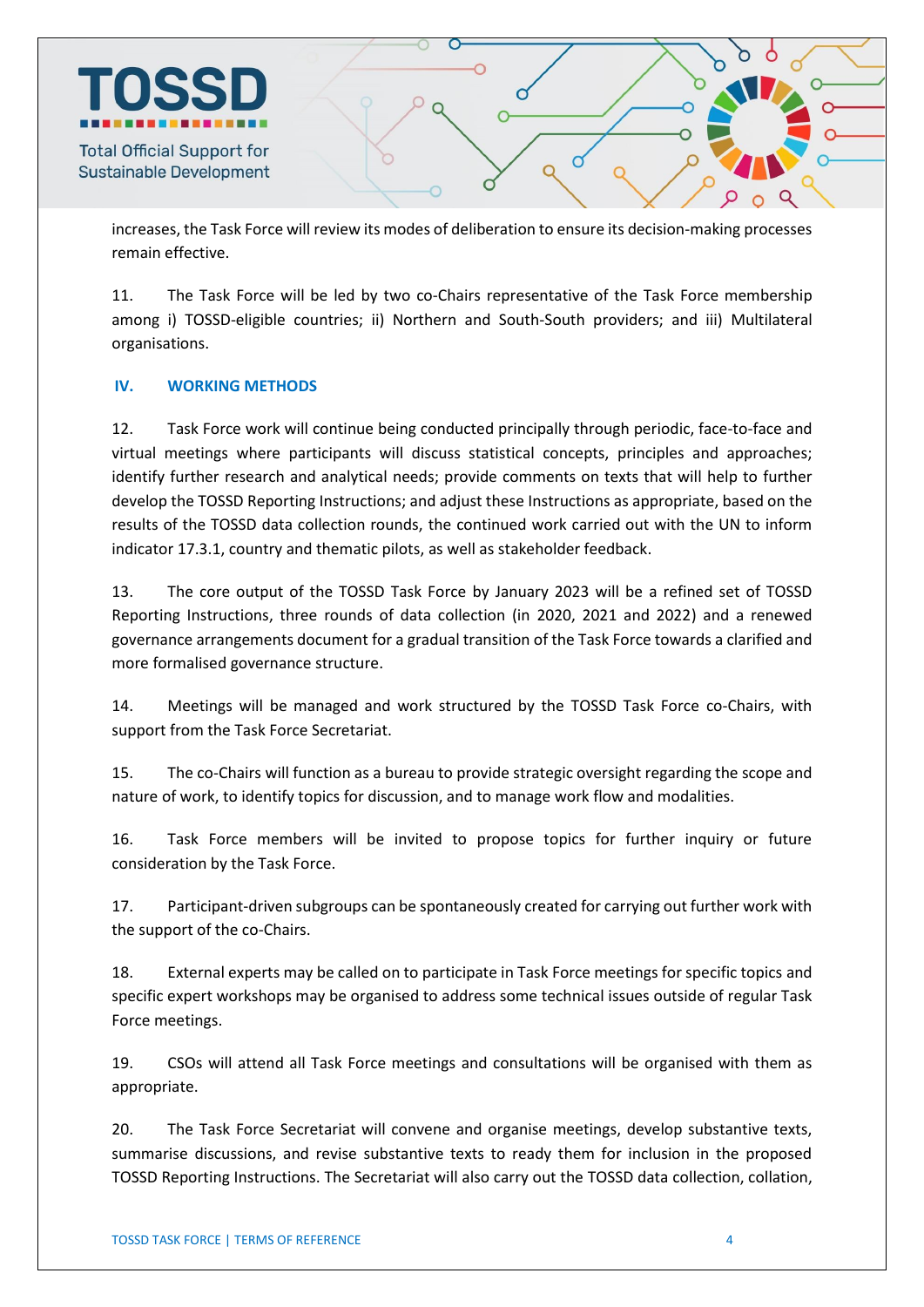

increases, the Task Force will review its modes of deliberation to ensure its decision-making processes remain effective.

11. The Task Force will be led by two co-Chairs representative of the Task Force membership among i) TOSSD-eligible countries; ii) Northern and South-South providers; and iii) Multilateral organisations.

### **IV. WORKING METHODS**

12. Task Force work will continue being conducted principally through periodic, face-to-face and virtual meetings where participants will discuss statistical concepts, principles and approaches; identify further research and analytical needs; provide comments on texts that will help to further develop the TOSSD Reporting Instructions; and adjust these Instructions as appropriate, based on the results of the TOSSD data collection rounds, the continued work carried out with the UN to inform indicator 17.3.1, country and thematic pilots, as well as stakeholder feedback.

13. The core output of the TOSSD Task Force by January 2023 will be a refined set of TOSSD Reporting Instructions, three rounds of data collection (in 2020, 2021 and 2022) and a renewed governance arrangements document for a gradual transition of the Task Force towards a clarified and more formalised governance structure.

14. Meetings will be managed and work structured by the TOSSD Task Force co-Chairs, with support from the Task Force Secretariat.

15. The co-Chairs will function as a bureau to provide strategic oversight regarding the scope and nature of work, to identify topics for discussion, and to manage work flow and modalities.

16. Task Force members will be invited to propose topics for further inquiry or future consideration by the Task Force.

17. Participant-driven subgroups can be spontaneously created for carrying out further work with the support of the co-Chairs.

18. External experts may be called on to participate in Task Force meetings for specific topics and specific expert workshops may be organised to address some technical issues outside of regular Task Force meetings.

19. CSOs will attend all Task Force meetings and consultations will be organised with them as appropriate.

20. The Task Force Secretariat will convene and organise meetings, develop substantive texts, summarise discussions, and revise substantive texts to ready them for inclusion in the proposed TOSSD Reporting Instructions. The Secretariat will also carry out the TOSSD data collection, collation,